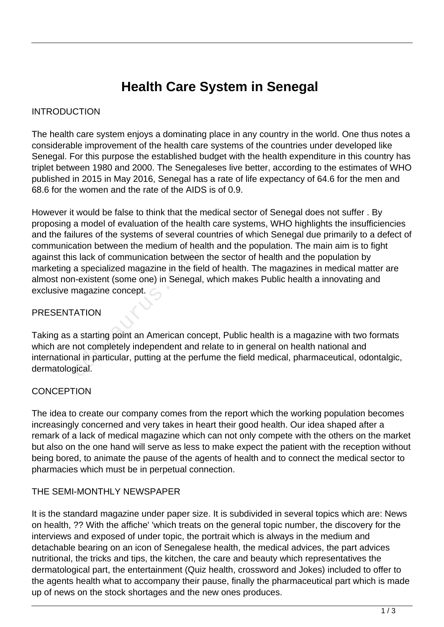# **Health Care System in Senegal**

#### INTRODUCTION

The health care system enjoys a dominating place in any country in the world. One thus notes a considerable improvement of the health care systems of the countries under developed like Senegal. For this purpose the established budget with the health expenditure in this country has triplet between 1980 and 2000. The Senegaleses live better, according to the estimates of WHO published in 2015 in May 2016, Senegal has a rate of life expectancy of 64.6 for the men and 68.6 for the women and the rate of the AIDS is of 0.9.

However it would be false to think that the medical sector of Senegal does not suffer . By proposing a model of evaluation of the health care systems, WHO highlights the insufficiencies and the failures of the systems of several countries of which Senegal due primarily to a defect of communication between the medium of health and the population. The main aim is to fight against this lack of communication between the sector of health and the population by marketing a specialized magazine in the field of health. The magazines in medical matter are almost non-existent (some one) in Senegal, which makes Public health a innovating and exclusive magazine concept. matrix of communication between<br>a specialized magazine in the field<br>i-existent (some one) in Senegal,<br>magazine concept.<br>ATION<br>a starting point an American concent completely independent and real in particular, putting at t

### PRESENTATION

Taking as a starting point an American concept, Public health is a magazine with two formats which are not completely independent and relate to in general on health national and international in particular, putting at the perfume the field medical, pharmaceutical, odontalgic, dermatological.

#### **CONCEPTION**

The idea to create our company comes from the report which the working population becomes increasingly concerned and very takes in heart their good health. Our idea shaped after a remark of a lack of medical magazine which can not only compete with the others on the market but also on the one hand will serve as less to make expect the patient with the reception without being bored, to animate the pause of the agents of health and to connect the medical sector to pharmacies which must be in perpetual connection.

#### THE SEMI-MONTHLY NEWSPAPER

It is the standard magazine under paper size. It is subdivided in several topics which are: News on health, ?? With the affiche' 'which treats on the general topic number, the discovery for the interviews and exposed of under topic, the portrait which is always in the medium and detachable bearing on an icon of Senegalese health, the medical advices, the part advices nutritional, the tricks and tips, the kitchen, the care and beauty which representatives the dermatological part, the entertainment (Quiz health, crossword and Jokes) included to offer to the agents health what to accompany their pause, finally the pharmaceutical part which is made up of news on the stock shortages and the new ones produces.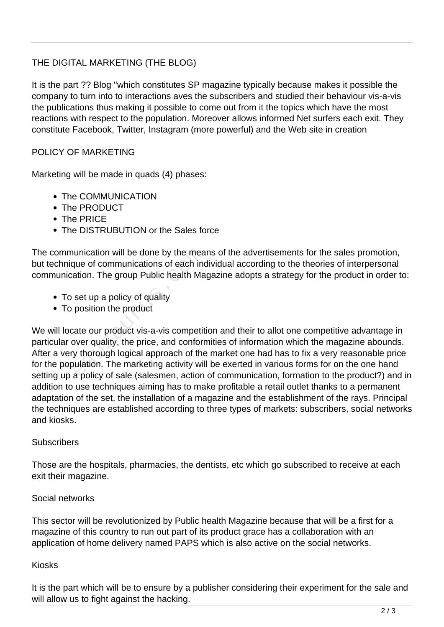# THE DIGITAL MARKETING (THE BLOG)

It is the part ?? Blog ''which constitutes SP magazine typically because makes it possible the company to turn into to interactions aves the subscribers and studied their behaviour vis-a-vis the publications thus making it possible to come out from it the topics which have the most reactions with respect to the population. Moreover allows informed Net surfers each exit. They constitute Facebook, Twitter, Instagram (more powerful) and the Web site in creation

### POLICY OF MARKETING

Marketing will be made in quads (4) phases:

- The COMMUNICATION
- The PRODUCT
- The PRICF
- The DISTRUBUTION or the Sales force

The communication will be done by the means of the advertisements for the sales promotion, but technique of communications of each individual according to the theories of interpersonal communication. The group Public health Magazine adopts a strategy for the product in order to:

- To set up a policy of quality
- To position the product

We will locate our product vis-a-vis competition and their to allot one competitive advantage in particular over quality, the price, and conformities of information which the magazine abounds. After a very thorough logical approach of the market one had has to fix a very reasonable price for the population. The marketing activity will be exerted in various forms for on the one hand setting up a policy of sale (salesmen, action of communication, formation to the product?) and in addition to use techniques aiming has to make profitable a retail outlet thanks to a permanent adaptation of the set, the installation of a magazine and the establishment of the rays. Principal the techniques are established according to three types of markets: subscribers, social networks and kiosks. unication will be done by the mea<br>que of communications of each ind<br>ation. The group Public health Ma<br>set up a policy of quality<br>position the product<br>tate our product vis-a-vis competit<br>over quality, the price, and conforr

#### **Subscribers**

Those are the hospitals, pharmacies, the dentists, etc which go subscribed to receive at each exit their magazine.

#### Social networks

This sector will be revolutionized by Public health Magazine because that will be a first for a magazine of this country to run out part of its product grace has a collaboration with an application of home delivery named PAPS which is also active on the social networks.

#### Kiosks

It is the part which will be to ensure by a publisher considering their experiment for the sale and will allow us to fight against the hacking.